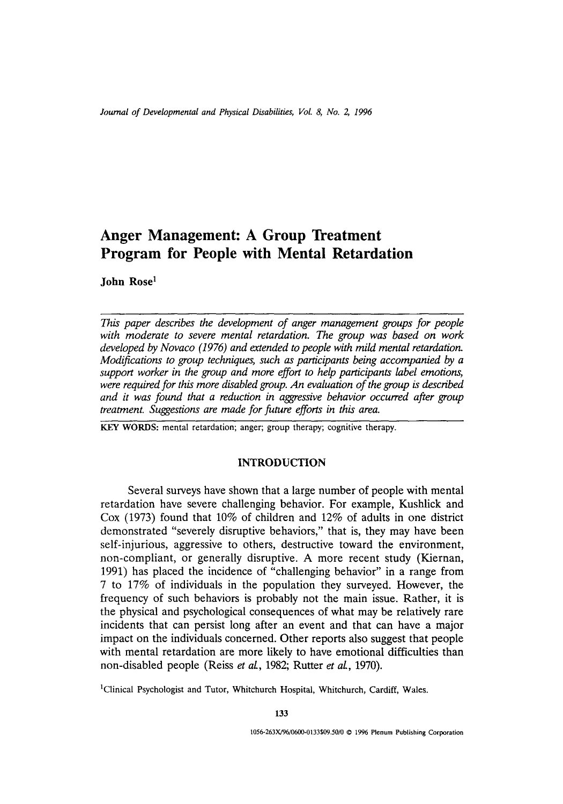# **Anger Management: A Group Treatment Program for People with Mental Retardation**

**John Rose**<sup>1</sup>

*This paper describes the development of anger management groups for people with moderate to severe mental retardation. The group was based on work developed by Novaco (1976) and extended to people with mild mental retardation. Modifications to group techniques, such as participants being accompanied by a support worker in the group and more effort to help participants label emotions, were required for this more disabled group. An evaluation of the group is described and it was found that a reduction in aggressive behavior occurred after group treatment. Suggestions are made for future efforts in this area.* 

KEY WORDS: mental retardation; anger; group therapy; cognitive therapy.

# INTRODUCTION

Several surveys have shown that a large number of people with mental retardation have severe challenging behavior. For example, Kushlick and Cox (1973) found that  $10\%$  of children and  $12\%$  of adults in one district demonstrated "severely disruptive behaviors," that is, they may have been self-injurious, aggressive to others, destructive toward the environment, non-compliant, or generally disruptive. A more recent study (Kiernan, 1991) has placed the incidence of "challenging behavior" in a range from 7 to 17% of individuals in the population they surveyed. However, the frequency of such behaviors is probably not the main issue. Rather, it is the physical and psychological consequences of what may be relatively rare incidents that can persist long after an event and that can have a major impact on the individuals concerned. Other reports also suggest that people with mental retardation are more likely to have emotional difficulties than non-disabled people (Reiss *et aL,* 1982; Rutter *et aL,* 1970).

<sup>1</sup>Clinical Psychologist and Tutor, Whitchurch Hospital, Whitchurch, Cardiff, Wales.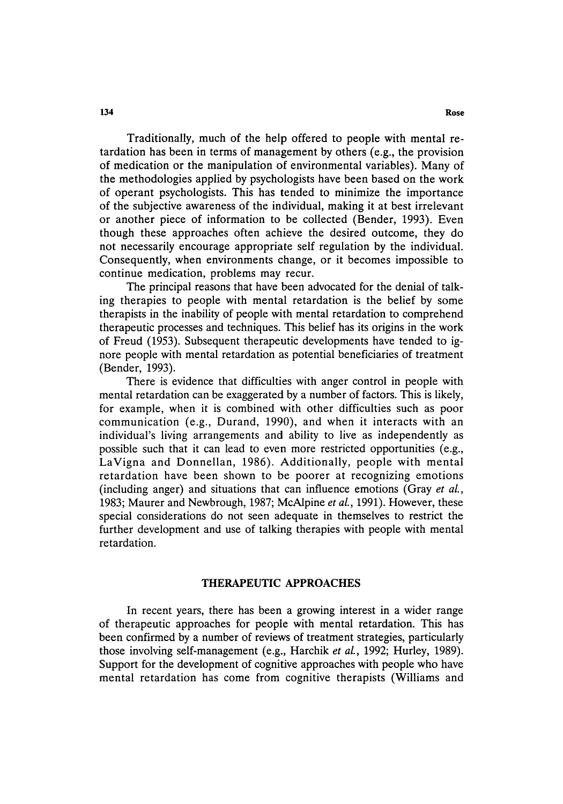Traditionally, much of the help offered to people with mental retardation has been in terms of management by others (e.g., the provision of medication or the manipulation of environmental variables). Many of the methodologies applied by psychologists have been based on the work of operant psychologists. This has tended to minimize the importance of the subjective awareness of the individual, making it at best irrelevant or another piece of information to be collected (Bender, 1993). Even though these approaches often achieve the desired outcome, they do not necessarily encourage appropriate self regulation by the individual. Consequently, when environments change, or it becomes impossible to continue medication, problems may recur.

The principal reasons that have been advocated for the denial of talking therapies to people with mental retardation is the belief by some therapists in the inability of people with mental retardation to comprehend therapeutic processes and techniques. This belief has its origins in the work of Freud (1953). Subsequent therapeutic developments have tended to ignore people with mental retardation as potential beneficiaries of treatment (Bender, 1993).

There is evidence that difficulties with anger control in people with mental retardation can be exaggerated by a number of factors. This is likely, for example, when it is combined with other difficulties such as poor communication (e.g., Durand, 1990), and when it interacts with an individual's living arrangements and ability to live as independently as possible such that it can lead to even more restricted opportunities (e.g., LaVigna and Donnellan, 1986). Additionally, people with mental retardation have been shown to be poorer at recognizing emotions (including anger) and situations that can influence emotions (Gray *et al.,*  1983; Maurer and Newbrough, 1987; McAlpine *et aL,* 1991). However, these special considerations do not seen adequate in themselves to restrict the further development and use of talking therapies with people with mental retardation.

# THERAPEUTIC APPROACHES

In recent years, there has been a growing interest in a wider range of therapeutic approaches for people with mental retardation. This has been confirmed by a number of reviews of treatment strategies, particularly those involving self-management (e.g., Harchik *et al.,* 1992; Hurley, 1989). Support for the development of cognitive approaches with people who have mental retardation has come from cognitive therapists (Williams and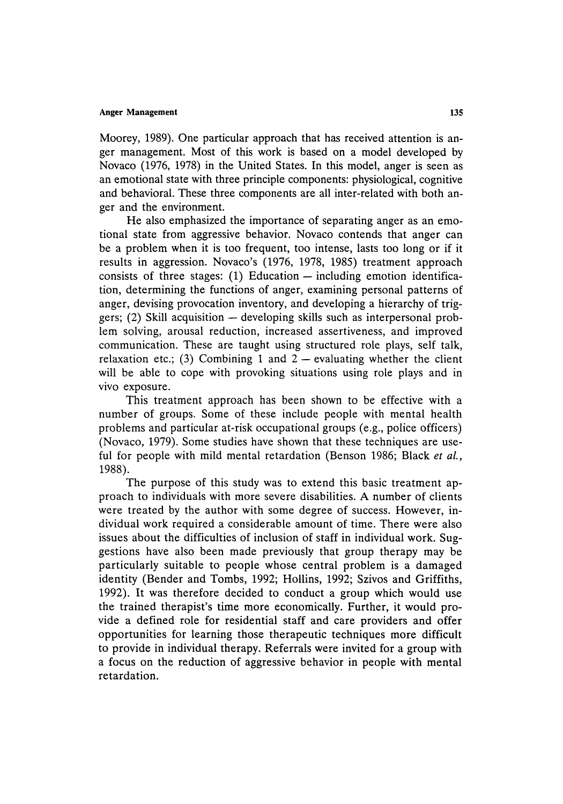Moorey, 1989). One particular approach that has received attention is anger management. Most of this work is based on a model developed by Novaco (1976, 1978) in the United States. In this model, anger is seen as an emotional state with three principle components: physiological, cognitive and behavioral. These three components are all inter-related with both anger and the environment.

He also emphasized the importance of separating anger as an emotional state from aggressive behavior. Novaco contends that anger can be a problem when it is too frequent, too intense, lasts too long or if it results in aggression. Novaco's (1976, 1978, 1985) treatment approach consists of three stages: (1) Education  $-$  including emotion identification, determining the functions of anger, examining personal patterns of anger, devising provocation inventory, and developing a hierarchy of triggers;  $(2)$  Skill acquisition  $-$  developing skills such as interpersonal problem solving, arousal reduction, increased assertiveness, and improved communication. These are taught using structured role plays, self talk, relaxation etc.; (3) Combining 1 and  $2$  – evaluating whether the client will be able to cope with provoking situations using role plays and in vivo exposure.

This treatment approach has been shown to be effective with a number of groups. Some of these include people with mental health problems and particular at-risk occupational groups (e.g., police officers) (Novaco, 1979). Some studies have shown that these techniques are useful for people with mild mental retardation (Benson 1986; Black *et al.,*  1988).

The purpose of this study was to extend this basic treatment approach to individuals with more severe disabilities. A number of clients were treated by the author with some degree of success. However, individual work required a considerable amount of time. There were also issues about the difficulties of inclusion of staff in individual work. Suggestions have also been made previously that group therapy may be particularly suitable to people whose central problem is a damaged identity (Bender and Tombs, 1992; Hollins, 1992; Szivos and Griffiths, 1992). It was therefore decided to conduct a group which would use the trained therapist's time more economically. Further, it would provide a defined role for residential staff and care providers and offer opportunities for learning those therapeutic techniques more difficult to provide in individual therapy. Referrals were invited for a group with a focus on the reduction of aggressive behavior in people with mental retardation.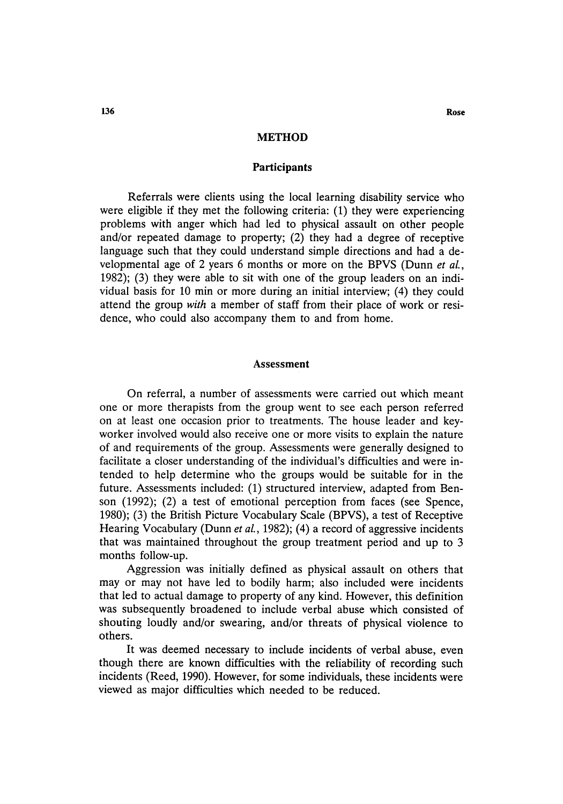Referrals were clients using the local learning disability service who were eligible if they met the following criteria: (1) they were experiencing problems with anger which had led to physical assault on other people and/or repeated damage to property; (2) they had a degree of receptive language such that they could understand simple directions and had a developmental age of 2 years 6 months or more on the BPVS (Dunn *et al.,*  1982); (3) they were able to sit with one of the group leaders on an individual basis for 10 min or more during an initial interview; (4) they could attend the group *with* a member of staff from their place of work or residence, who could also accompany them to and from home.

#### **Assessment**

On referral, a number of assessments were carried out which meant one or more therapists from the group went to see each person referred on at least one occasion prior to treatments. The house leader and keyworker involved would also receive one or more visits to explain the nature of and requirements of the group. Assessments were generally designed to facilitate a closer understanding of the individual's difficulties and were intended to help determine who the groups would be suitable for in the future. Assessments included: (1) structured interview, adapted from Benson (1992); (2) a test of emotional perception from faces (see Spence, 1980); (3) the British Picture Vocabulary Scale (BPVS), a test of Receptive Hearing Vocabulary (Dunn *et al.,* 1982); (4) a record of aggressive incidents that was maintained throughout the group treatment period and up to 3 months follow-up.

Aggression was initially defined as physical assault on others that may or may not have led to bodily harm; also included were incidents that led to actual damage to property of any kind. However, this definition was subsequently broadened to include verbal abuse which consisted of shouting loudly and/or swearing, and/or threats of physical violence to others.

It was deemed necessary to include incidents of verbal abuse, even though there are known difficulties with the reliability of recording such incidents (Reed, 1990). However, for some individuals, these incidents were viewed as major difficulties which needed to be reduced.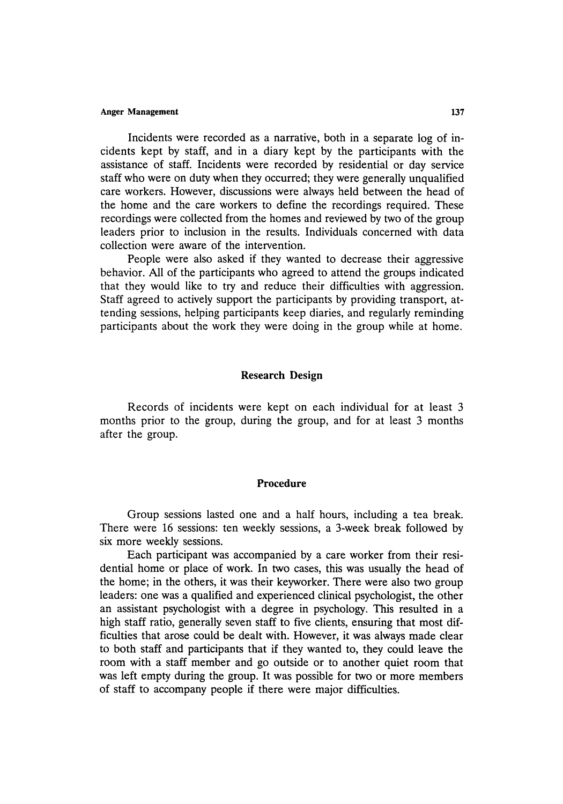Incidents were recorded as a narrative, both in a separate log of incidents kept by staff, and in a diary kept by the participants with the assistance of staff. Incidents were recorded by residential or day service staff who were on duty when they occurred; they were generally unqualified care workers. However, discussions were always held between the head of the home and the care workers to define the recordings required. These recordings were collected from the homes and reviewed by two of the group leaders prior to inclusion in the results. Individuals concerned with data collection were aware of the intervention.

People were also asked if they wanted to decrease their aggressive behavior. All of the participants who agreed to attend the groups indicated that they would like to try and reduce their difficulties with aggression. Staff agreed to actively support the participants by providing transport, attending sessions, helping participants keep diaries, and regularly reminding participants about the work they were doing in the group while at home.

## **Research Design**

Records of incidents were kept on each individual for at least 3 months prior to the group, during the group, and for at least 3 months after the group.

## **Procedure**

Group sessions lasted one and a half hours, including a tea break. There were 16 sessions: ten weekly sessions, a 3-week break followed by six more weekly sessions.

Each participant was accompanied by a care worker from their residential home or place of work. In two cases, this was usually the head of the home; in the others, it was their keyworker. There were also two group leaders: one was a qualified and experienced clinical psychologist, the other an assistant psychologist with a degree in psychology. This resulted in a high staff ratio, generally seven staff to five clients, ensuring that most difficulties that arose could be dealt with. However, it was always made clear to both staff and participants that if they wanted to, they could leave the room with a staff member and go outside or to another quiet room that was left empty during the group. It was possible for two or more members of staff to accompany people if there were major difficulties.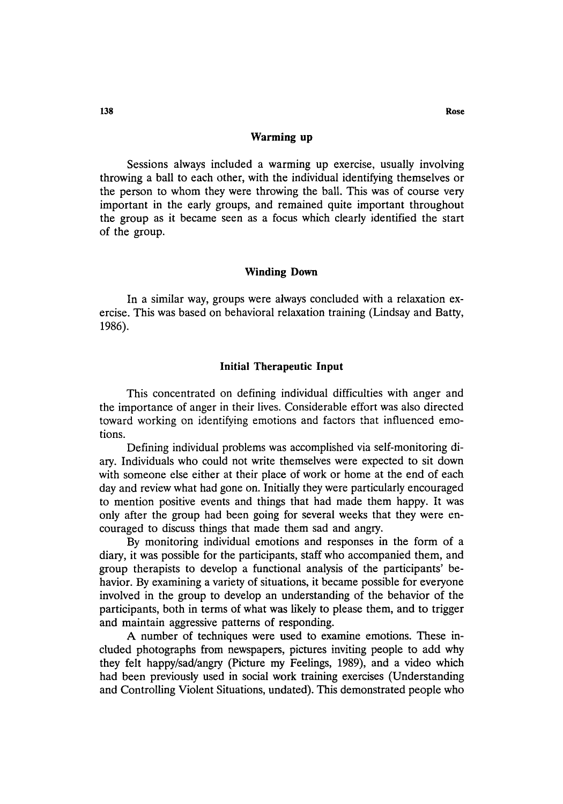**Warming up** 

Sessions always included a warming up exercise, usually involving throwing a ball to each other, with the individual identifying themselves or the person to whom they were throwing the ball. This was of course very important in the early groups, and remained quite important throughout the group as it became seen as a focus which clearly identified the start of the group.

## **Winding Down**

In a similar way, groups were always concluded with a relaxation exercise. This was based on behavioral relaxation training (Lindsay and Batty, 1986).

# **Initial Therapeutic Input**

This concentrated on defining individual difficulties with anger and the importance of anger in their lives. Considerable effort was also directed toward working on identifying emotions and factors that influenced emotions.

Defining individual problems was accomplished via self-monitoring diary. Individuals who could not write themselves were expected to sit down with someone else either at their place of work or home at the end of each day and review what had gone on. Initially they were particularly encouraged to mention positive events and things that had made them happy. It was only after the group had been going for several weeks that they were encouraged to discuss things that made them sad and angry.

By monitoring individual emotions and responses in the form of a diary, it was possible for the participants, staff who accompanied them, and group therapists to develop a functional analysis of the participants' behavior. By examining a variety of situations, it became possible for everyone involved in the group to develop an understanding of the behavior of the participants, both in terms of what was likely to please them, and to trigger and maintain aggressive patterns of responding.

A number of techniques were used to examine emotions. These ineluded photographs from newspapers, pictures inviting people to add why they felt happy/sad/angry (Picture my Feelings, 1989), and a video which had been previously used in social work training exercises (Understanding and Controlling Violent Situations, undated). This demonstrated people who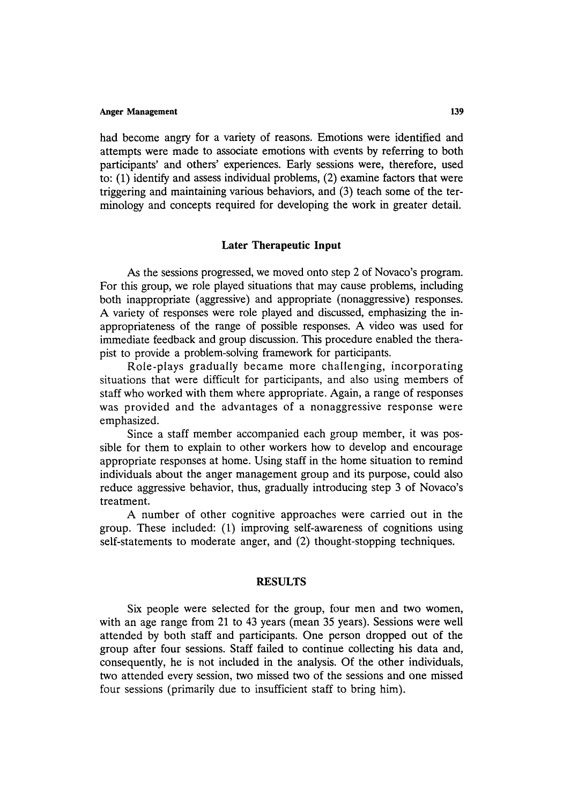had become angry for a variety of reasons. Emotions were identified and attempts were made to associate emotions with events by referring to both participants' and others' experiences. Early sessions were, therefore, used to: (1) identify and assess individual problems, (2) examine factors that were triggering and maintaining various behaviors, and (3) teach some of the terminology and concepts required for developing the work in greater detail.

# **Later Therapeutic Input**

As the sessions progressed, we moved onto step 2 of Novaco's program. For this group, we role played situations that may cause problems, including both inappropriate (aggressive) and appropriate (nonaggressive) responses. A variety of responses were role played and discussed, emphasizing the inappropriateness of the range of possible responses. A video was used for immediate feedback and group discussion. This procedure enabled the therapist to provide a problem-solving framework for participants.

Role-plays gradually became more challenging, incorporating situations that were difficult for participants, and also using members of staff who worked with them where appropriate. Again, a range of responses was provided and the advantages of a nonaggressive response were emphasized.

Since a staff member accompanied each group member, it was possible for them to explain to other workers how to develop and encourage appropriate responses at home. Using staff in the home situation to remind individuals about the anger management group and its purpose, could also reduce aggressive behavior, thus, gradually introducing step 3 of Novaco's treatment.

A number of other cognitive approaches were carried out in the group. These included: (1) improving self-awareness of cognitions using self-statements to moderate anger, and (2) thought-stopping techniques.

# RESULTS

Six people were selected for the group, four men and two women, with an age range from 21 to 43 years (mean 35 years). Sessions were well attended by both staff and participants. One person dropped out of the group after four sessions. Staff failed to continue collecting his data and, consequently, he is not included in the analysis. Of the other individuals, two attended every session, two missed two of the sessions and one missed four sessions (primarily due to insufficient staff to bring him).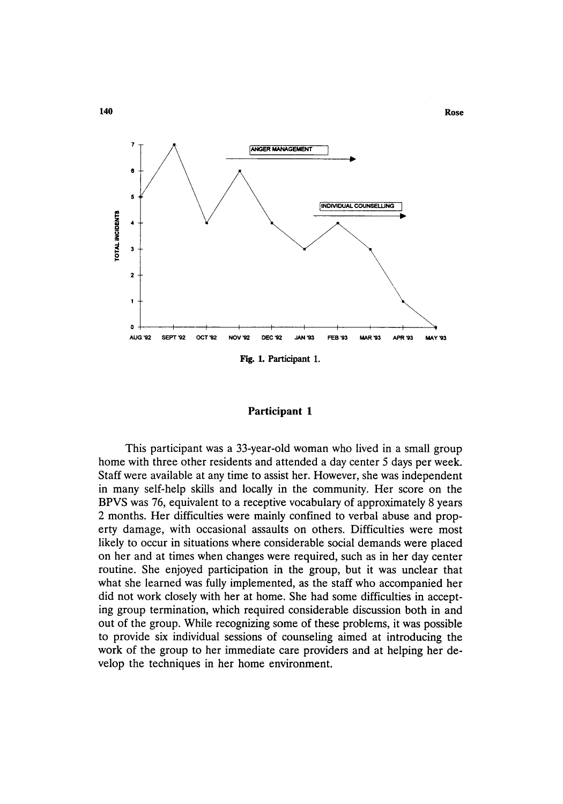

**Fig, 1. Participant 1.** 

This participant was a 33-year-old woman who lived in a small group home with three other residents and attended a day center 5 days per week. Staff were available at any time to assist her. However, she was independent in many self-help skills and locally in the community. Her score on the BPVS was 76, equivalent to a receptive vocabulary of approximately 8 years 2 months. Her difficulties were mainly confined to verbal abuse and property damage, with occasional assaults on others. Difficulties were most likely to occur in situations where considerable social demands were placed on her and at times when changes were required, such as in her day center routine. She enjoyed participation in the group, but it was unclear that what she learned was fully implemented, as the staff who accompanied her did not work closely with her at home. She had some difficulties in accepting group termination, which required considerable discussion both in and out of the group. While recognizing some of these problems, it was possible to provide six individual sessions of counseling aimed at introducing the work of the group to her immediate care providers and at helping her develop the techniques in her home environment.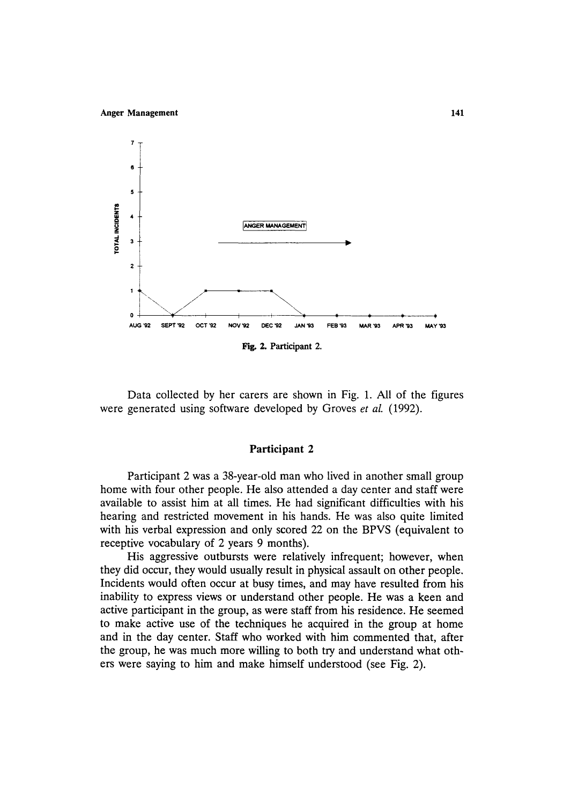

Data collected by her carers are shown in Fig. 1. All of the figures were generated using software developed by Groves *et al.* (1992).

# **Participant 2**

Participant 2 was a 38-year-old man who lived in another small group home with four other people. He also attended a day center and staff were available to assist him at all times. He had significant difficulties with his hearing and restricted movement in his hands. He was also quite limited with his verbal expression and only scored 22 on the BPVS (equivalent to receptive vocabulary of 2 years 9 months).

His aggressive outbursts were relatively infrequent; however, when they did occur, they would usually result in physical assault on other people. Incidents would often occur at busy times, and may have resulted from his inability to express views or understand other people. He was a keen and active participant in the group, as were staff from his residence. He seemed to make active use of the techniques he acquired in the group at home and in the day center. Staff who worked with him commented that, after the group, he was much more willing to both try and understand what others were saying to him and make himself understood (see Fig. 2).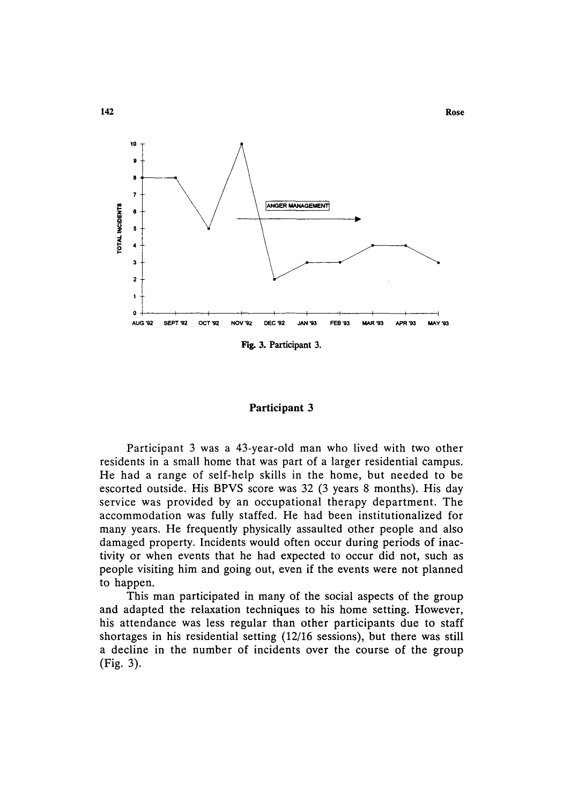

**Fig. 3. Participant 3.** 

Participant 3 was a 43-year-old man who lived with two other residents in a small home that was part of a larger residential campus. He had a range of self-help skills in the home, but needed to be escorted outside. His BPVS score was 32 (3 years 8 months). His day service was provided by an occupational therapy department. The accommodation was fully staffed. He had been institutionalized for many years. He frequently physically assaulted other people and also damaged property. Incidents would often occur during periods of inactivity or when events that he had expected to occur did not, such as people visiting him and going out, even if the events were not planned to happen.

This man participated in many of the social aspects of the group and adapted the relaxation techniques to his home setting. However, his attendance was less regular than other participants due to staff shortages in his residential setting (12/16 sessions), but there was still a decline in the number of incidents over the course of the group (Fig. 3).

142 **Rose**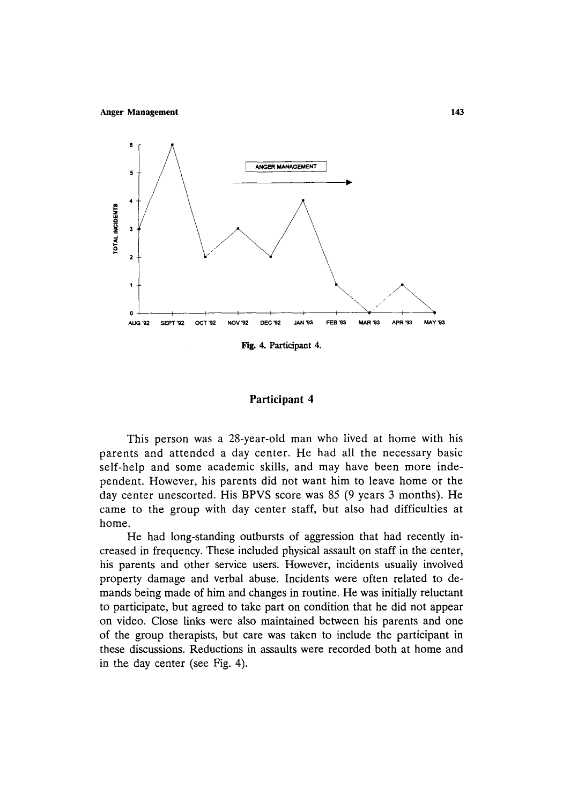

Fig. 4. Participant 4.

This person was a 28-year-old man who lived at home with his parents and attended a day center. He had all the necessary basic self-help and some academic skills, and may have been more independent. However, his parents did not want him to leave home or the day center unescorted. His BPVS score was 85 (9 years 3 months). He came to the group with day center staff, but also had difficulties at home.

He had long-standing outbursts of aggression that had recently increased in frequency. These included physical assault on staff in the center, his parents and other service users. However, incidents usually involved property damage and verbal abuse. Incidents were often related to demands being made of him and changes in routine. He was initially reluctant to participate, but agreed to take part on condition that he did not appear on video. Close links were also maintained between his parents and one of the group therapists, but care was taken to include the participant in these discussions. Reductions in assaults were recorded both at home and in the day center (see Fig. 4).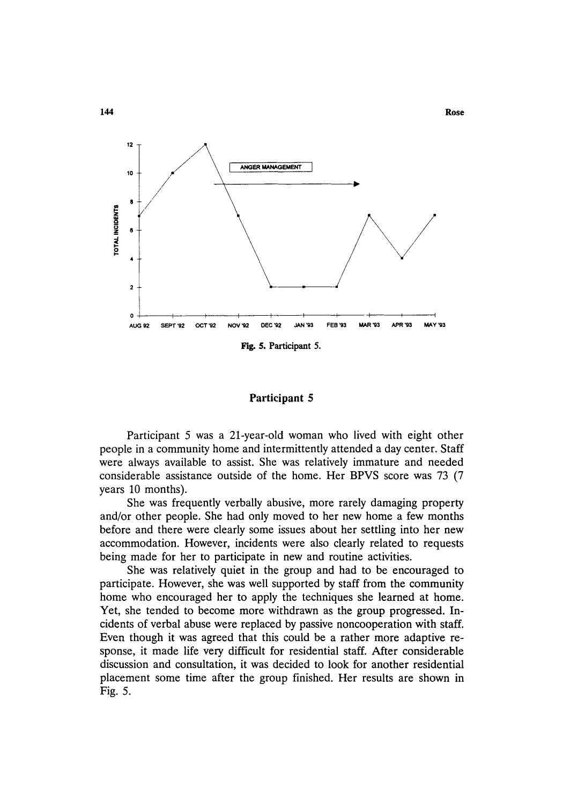

Participant 5 was a 21-year-old woman who lived with eight other people in a community home and intermittently attended a day center. Staff were always available to assist. She was relatively immature and needed considerable assistance outside of the home. Her BPVS score was 73 (7 years 10 months).

She was frequently verbally abusive, more rarely damaging property and/or other people. She had only moved to her new home a few months before and there were clearly some issues about her settling into her new accommodation. However, incidents were also clearly related to requests being made for her to participate in new and routine activities.

She was relatively quiet in the group and had to be encouraged to participate. However, she was well supported by staff from the community home who encouraged her to apply the techniques she learned at home. Yet, she tended to become more withdrawn as the group progressed. Incidents of verbal abuse were replaced by passive noncooperation with staff. Even though it was agreed that this could be a rather more adaptive response, it made life very difficult for residential staff. After considerable discussion and consultation, it was decided to look for another residential placement some time after the group finished. Her results are shown in Fig. 5.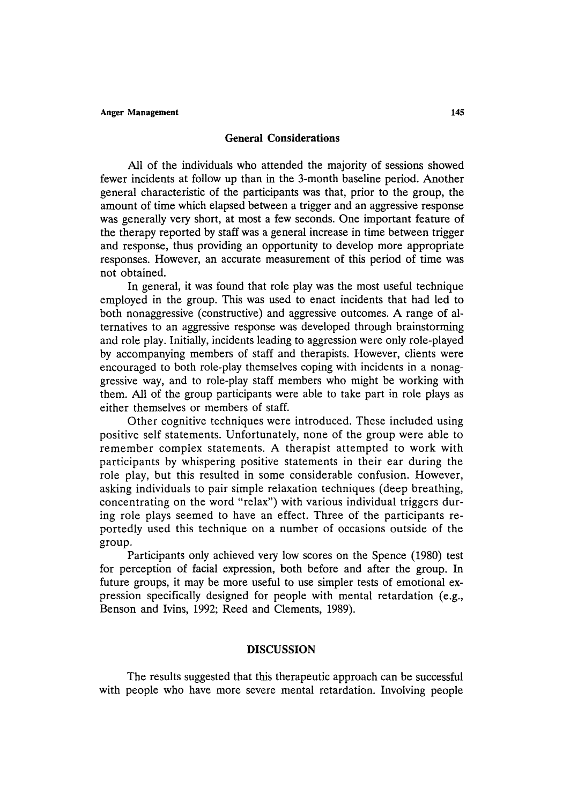# **General Considerations**

All of the individuals who attended the majority of sessions showed fewer incidents at follow up than in the 3-month baseline period. Another general characteristic of the participants was that, prior to the group, the amount of time which elapsed between a trigger and an aggressive response was generally very short, at most a few seconds. One important feature of the therapy reported by staff was a general increase in time between trigger and response, thus providing an opportunity to develop more appropriate responses. However, an accurate measurement of this period of time was not obtained.

In general, it was found that role play was the most useful technique employed in the group. This was used to enact incidents that had led to both nonaggressive (constructive) and aggressive outcomes. A range of alternatives to an aggressive response was developed through brainstorming and role play. Initially, incidents leading to aggression were only role-played by accompanying members of staff and therapists. However, clients were encouraged to both role-play themselves coping with incidents in a nonaggressive way, and to role-play staff members who might be working with them. All of the group participants were able to take part in role plays as either themselves or members of staff.

Other cognitive techniques were introduced. These included using positive self statements. Unfortunately, none of the group were able to remember complex statements. A therapist attempted to work with participants by whispering positive statements in their ear during the role play, but this resulted in some considerable confusion. However, asking individuals to pair simple relaxation techniques (deep breathing, concentrating on the word "relax") with various individual triggers during role plays seemed to have an effect. Three of the participants reportedly used this technique on a number of occasions outside of the group.

Participants only achieved very low scores on the Spence (1980) test for perception of facial expression, both before and after the group. In future groups, it may be more useful to use simpler tests of emotional expression specifically designed for people with mental retardation (e.g., Benson and Ivins, 1992; Reed and Clements, 1989).

# DISCUSSION

The results suggested that this therapeutic approach can be successful with people who have more severe mental retardation. Involving people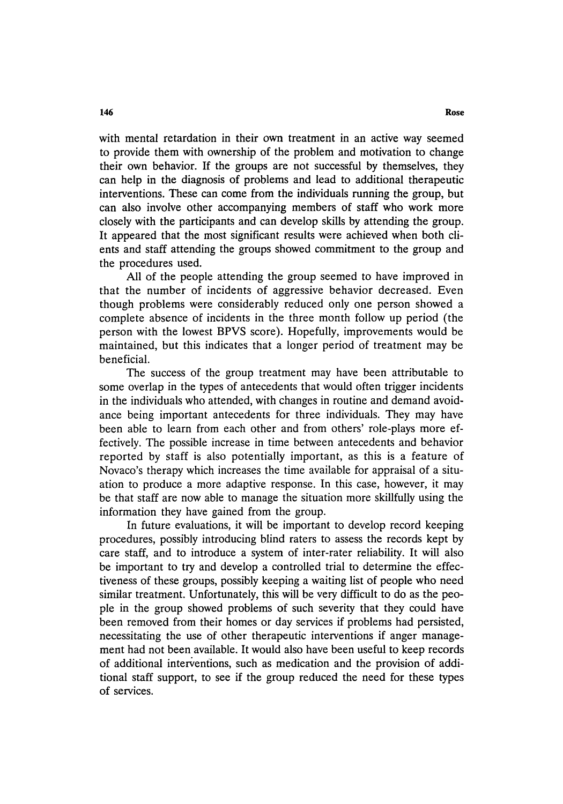with mental retardation in their own treatment in an active way seemed to provide them with ownership of the problem and motivation to change their own behavior. If the groups are not successful by themselves, they can help in the diagnosis of problems and lead to additional therapeutic interventions. These can come from the individuals running the group, but can also involve other accompanying members of staff who work more closely with the participants and can develop skills by attending the group. It appeared that the most significant results were achieved when both clients and staff attending the groups showed commitment to the group and the procedures used.

All of the people attending the group seemed to have improved in that the number of incidents of aggressive behavior decreased. Even though problems were considerably reduced only one person showed a complete absence of incidents in the three month follow up period (the person with the lowest BPVS score). Hopefully, improvements would be maintained, but this indicates that a longer period of treatment may be beneficial.

The success of the group treatment may have been attributable to some overlap in the types of antecedents that would often trigger incidents in the individuals who attended, with changes in routine and demand avoidance being important antecedents for three individuals. They may have been able to learn from each other and from others' role-plays more effectively. The possible increase in time between antecedents and behavior reported by staff is also potentially important, as this is a feature of Novaco's therapy which increases the time available for appraisal of a situation to produce a more adaptive response. In this case, however, it may be that staff are now able to manage the situation more skillfully using the information they have gained from the group.

In future evaluations, it will be important to develop record keeping procedures, possibly introducing blind raters to assess the records kept by care staff, and to introduce a system of inter-rater reliability. It will also be important to try and develop a controlled trial to determine the effectiveness of these groups, possibly keeping a waiting list of people who need similar treatment. Unfortunately, this will be very difficult to do as the people in the group showed problems of such severity that they could have been removed from their homes or day services if problems had persisted, necessitating the use of other therapeutic interventions if anger management had not been available. It would also have been useful to keep records of additional interventions, such as medication and the provision of additional staff support, to see if the group reduced the need for these types of services.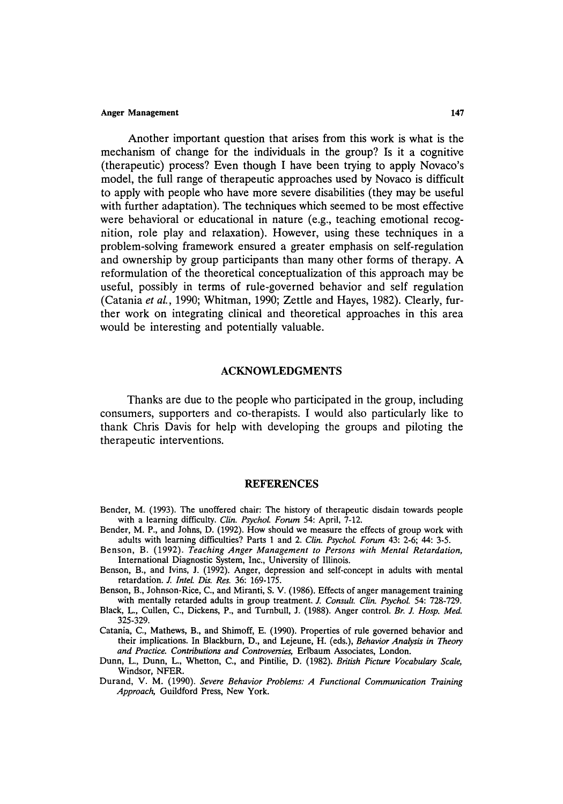Another important question that arises from this work is what is the mechanism of change for the individuals in the group? Is it a cognitive (therapeutic) process? Even though I have been trying to apply Novaco's model, the full range of therapeutic approaches used by Novaco is difficult to apply with people who have more severe disabilities (they may be useful with further adaptation). The techniques which seemed to be most effective were behavioral or educational in nature (e.g., teaching emotional recognition, role play and relaxation). However, using these techniques in a problem-solving framework ensured a greater emphasis on self-regulation and ownership by group participants than many other forms of therapy. A reformulation of the theoretical conceptualization of this approach may be useful, possibly in terms of rule-governed behavior and self regulation (Catania *et al.,* 1990; Whitman, 1990; Zettle and Hayes, 1982). Clearly, further work on integrating clinical and theoretical approaches in this area would be interesting and potentially valuable.

# ACKNOWLEDGMENTS

Thanks are due to the people who participated in the group, including consumers, supporters and co-therapists. I would also particularly like to thank Chris Davis for help with developing the groups and piloting the therapeutic interventions.

#### REFERENCES

- Bender, M. (1993). The unoffered chair: The history of therapeutic disdain towards people with a learning difficulty. *Clin. Psychol. Forum* 54: April, 7-12.
- Bender, M. P., and Johns, D. (1992). How should we measure the effects of group work with adults with learning difficulties? Parts 1 and 2. *Clin. Psychol. Forum* 43: 2-6; 44: 3-5.
- Benson, B. (1992). *Teaching Anger Management to Persons with Mental Retardation,*  International Diagnostic System, Inc., University of Illinois.
- Benson, B., and Ivins, J. (1992). Anger, depression and self-concept in adults with mental retardation. J. *Intel. Dis. Res.* 36: 169-175.
- Benson, B., Johnson-Rice, C., and Miranti, S. V. (1986). Effects of anger management training with mentally retarded adults in group treatment. J. *Consult. Clin. Psychol.* 54: 728-729.
- Black, L., Cullen, C., Dickens, P., and Turnbull, J. (1988). Anger control. *Br. J. Hosp. Med.*  325-329.
- Catania, C., Mathews, B., and Shimoff, E. (1990). Properties of rule governed behavior and their implications. In Blackburn, D., and Lejeune, H. (eds.), *Behavior Analysis in Theory and Practice. Contributions and Controversies,* Erlbaum Associates, London.
- Dunn, L., Dunn, L., Whetton, C., and Pintilie, D. (1982). *British Picture Vocabulary Scale,*  Windsor, NFER.
- Durand, V. M. (1990). *Severe Behavior Problems: A Functional Communication Training Approach,* Guildford Press, New York.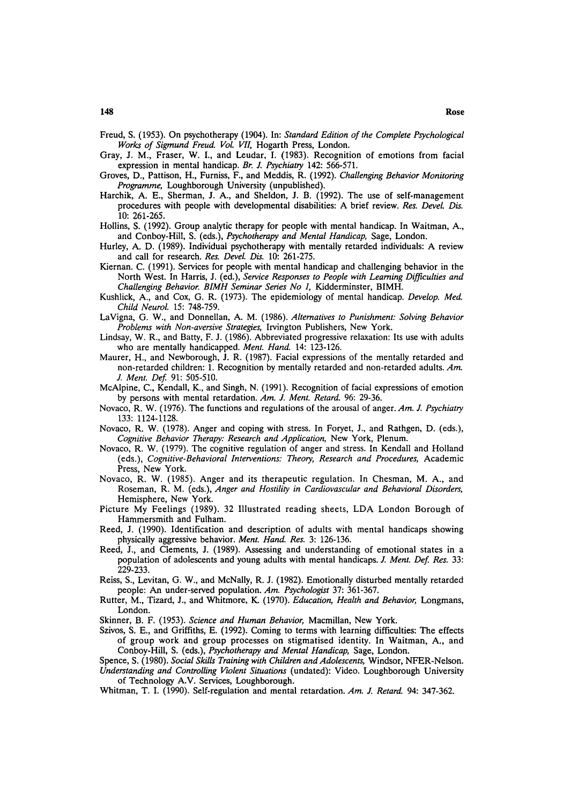Freud, S. (1953). On psychotherapy (1904). In: *Standard Edition of the Complete Psychological Works of Sigraund Freud. Vol. VII,* Hogarth Press, London.

Gray, J. M., Fraser, W. I., and Leudar, I. (1983). Recognition of emotions from facial expression in mental handicap. *Br. J. Psychiatry* 142: 566-571.

Groves, D., Pattison, H., Furniss, F., and Meddis, R. (1992). *Challenging Behavior Monitoring Programme,* Loughborough University (unpublished).

Harchik, A. E., Sherman, J. A., and Sheldon, J. B. (1992). The use of self-management procedures with people with developmental disabilities: A brief review. *Res. Devel. Dis.*  10: 261-265.

Hollins, S. (1992). Group analytic therapy for people with mental handicap. In Waitman, A., and Conboy-Hill, S. (eds.), *Psychotherapy and Mental Handicap,* Sage, London.

Hurley, A. D. (1989). Individual psychotherapy with mentally retarded individuals: A review and call for research. *Res. Devel. Dis.* 10: 261-275.

- Kiernan. C. (1991). Services for people with mental handicap and challenging behavior in the North West. In Harris, J. (ed.), *Service Responses to People with Learning Difficulties and Challenging Behavior. BIMH Seminar Series No 1,* Kidderminster, BIMH.
- Kushlick, A., and Cox, G. R. (1973). The epidemiology of mental handicap. *Develop. Med. Child Neurol.* 15: 748-759.
- LaVigna, G. W., and Donnellan, A. M. (1986). *Alternatives to Punishment: Solving Behavior Problems with Non-aversive Strategies,* Irvington Publishers, New York.
- Lindsay, W. R., and Batty, F. J. (1986). Abbreviated progressive relaxation: Its use with adults who are mentally handicapped. *Ment. Hand.* 14: 123-126.
- Maurer, H., and Newborough, J. R. (1987). Facial expressions of the mentally retarded and non-retarded children: 1. Recognition by mentally retarded and non-retarded adults. *Am. J. Ment. Def.* 91: 505-510.
- McAlpine, C., Kendall, K., and Singh, N. (1991). Recognition of facial expressions of emotion by persons with mental retardation. *Am. J. Ment. Retard.* 96: 29-36.
- Novaco, R. W. (1976). The functions and regulations of the arousal of anger. *Am. J. Psychiatry*  133: 1124-1128.
- Novaco, R. W. (1978). Anger and coping with stress. In Foryet, J., and Rathgen, D. (eds.), *Cognitive Behavior Therapy: Research and Application,* New York, Plenum.
- Novaco, R. W. (1979). The cognitive regulation of anger and stress. In Kendall and Holland (eds.), *Cognitive-Behavioral Interventions: Theory, Research and Procedures,* Academic Press, New York.
- Novaco, R. W. (1985). Anger and its therapeutic regulation. In Chesman, M. A., and Roseman, R. M. (eds.), *Anger and Hostility in Cardiovascular and Behavioral Disorders,*  Hemisphere, New York.
- Picture My Feelings (1989). 32 Illustrated reading sheets, LDA London Borough of Hammersmith and Fulham.
- Reed, J. (1990). Identification and description of adults with mental handicaps showing physically aggressive behavior. *Ment. Hand. Res.* 3: 126-136.
- Reed, J., and Clements, J. (1989). Assessing and understanding of emotional states in a population of adolescents and young adults with mental handicaps. *J. Ment. Def. Res.* 33: 229-233.
- Reiss, S., Levitan, G. W., and McNally, R. J. (1982). Emotionally disturbed mentally retarded people: An under-served population. *Am. Psychologist* 37: 361-367.
- Rutter, M., Tizard, J., and Whitmore, K. (1970). *Education, Health and Behavior,* Longmans, London.

Skinner, B. F. (1953). *Science and Human Behavior,* Macmillan, New York.

Szivos, S. E., and Griffiths, E. (1992). Coming to terms with learning difficulties: The effects of group work and group processes on stigmatised identity. In Waitman, A., and Coo.boy-Hill, S. (eds.), *Psychotherapy and Mental Handicap,* Sage, London.

Spence, S. (1980). *Social Skills Training with Children and Adolescents,* Windsor, NFER-Nelson.

*Understanding and Controlling Violent Situations* (undated): Video. Loughborough University of Technology A.V. Services, Loughborough.

Whitman, T. I. (1990). Self-regulation and mental retardation. *Am. J. Retard.* 94: 347-362.